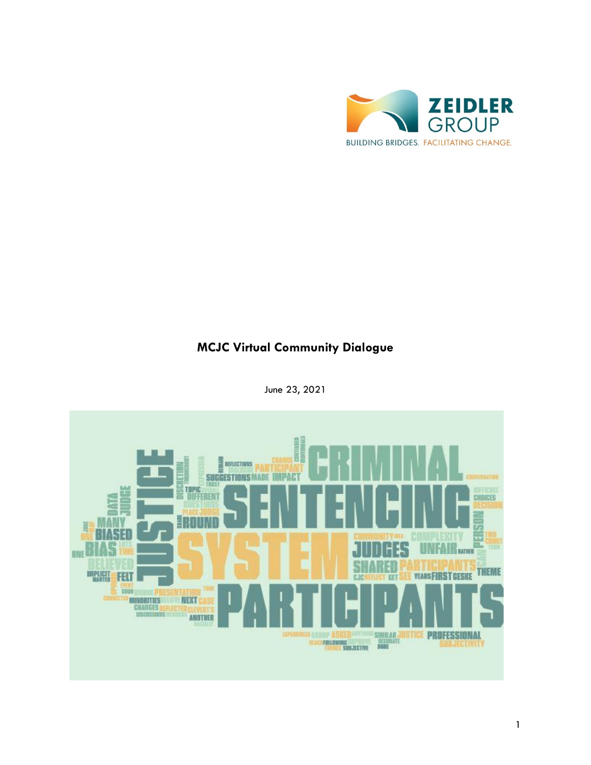

# **MCJC Virtual Community Dialogue**



June 23, 2021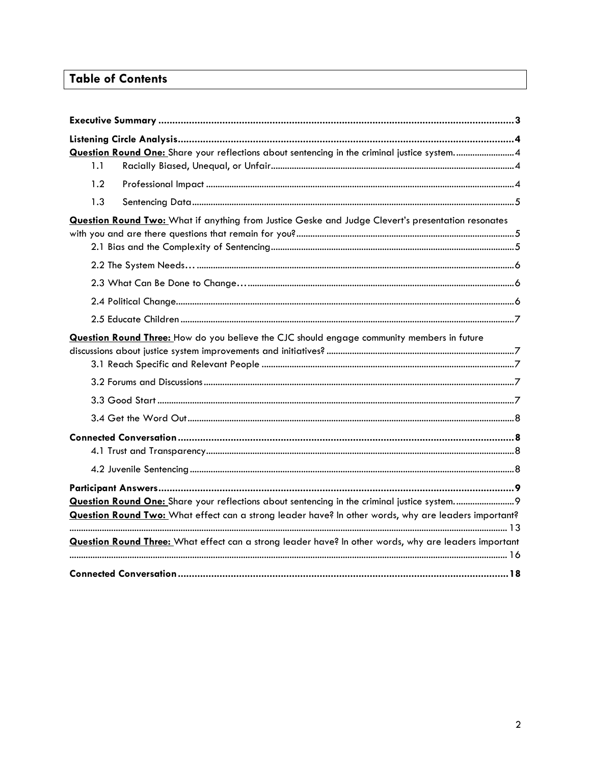# **Table of Contents**

|                                                                                                      |                  | Question Round One: Share your reflections about sentencing in the criminal justice system 4              |  |
|------------------------------------------------------------------------------------------------------|------------------|-----------------------------------------------------------------------------------------------------------|--|
|                                                                                                      | 1.1              |                                                                                                           |  |
|                                                                                                      | 1.2 <sub>2</sub> |                                                                                                           |  |
|                                                                                                      | 1.3              |                                                                                                           |  |
|                                                                                                      |                  | <b>Question Round Two:</b> What if anything from Justice Geske and Judge Clevert's presentation resonates |  |
|                                                                                                      |                  |                                                                                                           |  |
|                                                                                                      |                  |                                                                                                           |  |
|                                                                                                      |                  |                                                                                                           |  |
|                                                                                                      |                  |                                                                                                           |  |
| Question Round Three: How do you believe the CJC should engage community members in future           |                  |                                                                                                           |  |
|                                                                                                      |                  |                                                                                                           |  |
|                                                                                                      |                  |                                                                                                           |  |
|                                                                                                      |                  |                                                                                                           |  |
|                                                                                                      |                  |                                                                                                           |  |
|                                                                                                      |                  |                                                                                                           |  |
| Question Round Two: What effect can a strong leader have? In other words, why are leaders important? |                  |                                                                                                           |  |
|                                                                                                      |                  | Question Round Three: What effect can a strong leader have? In other words, why are leaders important     |  |
|                                                                                                      |                  |                                                                                                           |  |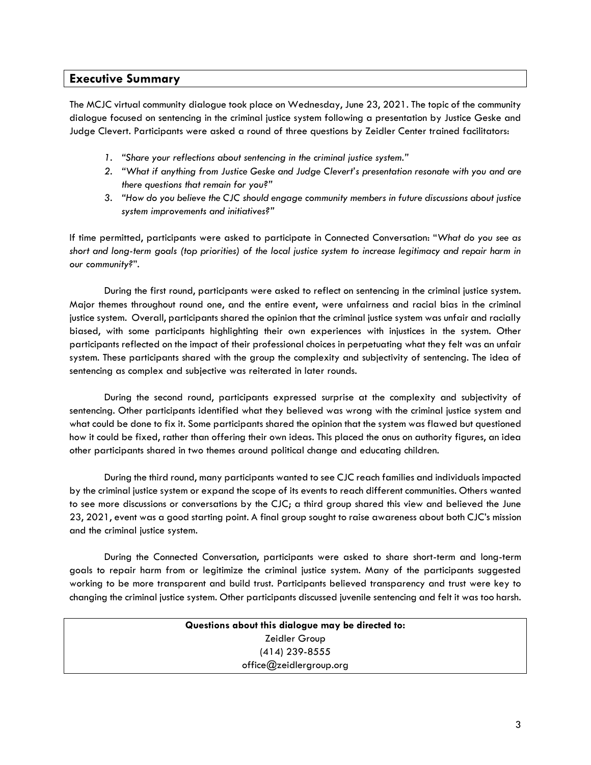# **Executive Summary**

The MCJC virtual community dialogue took place on Wednesday, June 23, 2021. The topic of the community dialogue focused on sentencing in the criminal justice system following a presentation by Justice Geske and Judge Clevert. Participants were asked a round of three questions by Zeidler Center trained facilitators:

- *1. "Share your reflections about sentencing in the criminal justice system."*
- *2. "What if anything from Justice Geske and Judge Clevert's presentation resonate with you and are there questions that remain for you?"*
- *3. "How do you believe the CJC should engage community members in future discussions about justice system improvements and initiatives?"*

If time permitted, participants were asked to participate in Connected Conversation: "*What do you see as short and long-term goals (top priorities) of the local justice system to increase legitimacy and repair harm in our community?*".

During the first round, participants were asked to reflect on sentencing in the criminal justice system. Major themes throughout round one, and the entire event, were unfairness and racial bias in the criminal justice system. Overall, participants shared the opinion that the criminal justice system was unfair and racially biased, with some participants highlighting their own experiences with injustices in the system. Other participants reflected on the impact of their professional choices in perpetuating what they felt was an unfair system. These participants shared with the group the complexity and subjectivity of sentencing. The idea of sentencing as complex and subjective was reiterated in later rounds.

During the second round, participants expressed surprise at the complexity and subjectivity of sentencing. Other participants identified what they believed was wrong with the criminal justice system and what could be done to fix it. Some participants shared the opinion that the system was flawed but questioned how it could be fixed, rather than offering their own ideas. This placed the onus on authority figures, an idea other participants shared in two themes around political change and educating children.

During the third round, many participants wanted to see CJC reach families and individuals impacted by the criminal justice system or expand the scope of its events to reach different communities. Others wanted to see more discussions or conversations by the CJC; a third group shared this view and believed the June 23, 2021, event was a good starting point. A final group sought to raise awareness about both CJC's mission and the criminal justice system.

During the Connected Conversation, participants were asked to share short-term and long-term goals to repair harm from or legitimize the criminal justice system. Many of the participants suggested working to be more transparent and build trust. Participants believed transparency and trust were key to changing the criminal justice system. Other participants discussed juvenile sentencing and felt it was too harsh.

| Questions about this dialogue may be directed to: |
|---------------------------------------------------|
| Zeidler Group                                     |
| $(414)$ 239-8555                                  |
| office@zeidlergroup.org                           |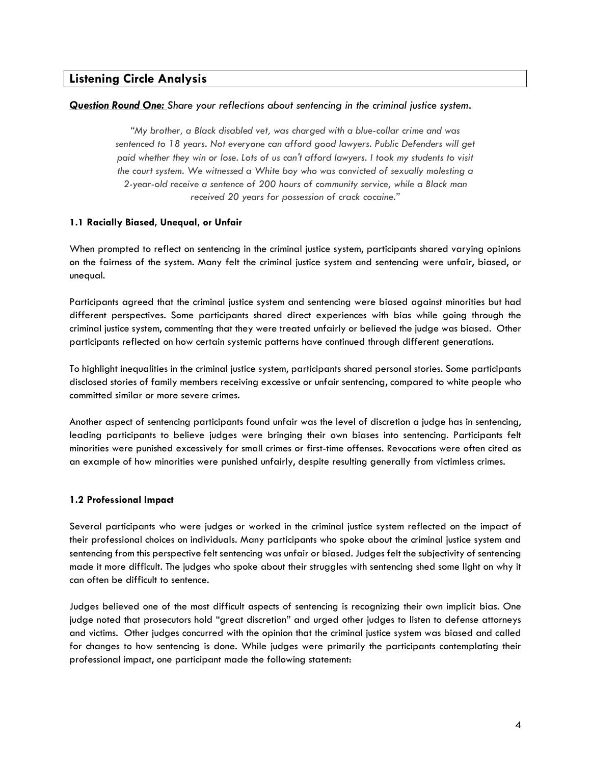# **Listening Circle Analysis**

#### *Question Round One: Share your reflections about sentencing in the criminal justice system.*

*"My brother, a Black disabled vet, was charged with a blue-collar crime and was sentenced to 18 years. Not everyone can afford good lawyers. Public Defenders will get paid whether they win or lose. Lots of us can't afford lawyers. I took my students to visit the court system. We witnessed a White boy who was convicted of sexually molesting a 2-year-old receive a sentence of 200 hours of community service, while a Black man received 20 years for possession of crack cocaine."* 

#### **1.1 Racially Biased, Unequal, or Unfair**

When prompted to reflect on sentencing in the criminal justice system, participants shared varying opinions on the fairness of the system. Many felt the criminal justice system and sentencing were unfair, biased, or unequal.

Participants agreed that the criminal justice system and sentencing were biased against minorities but had different perspectives. Some participants shared direct experiences with bias while going through the criminal justice system, commenting that they were treated unfairly or believed the judge was biased. Other participants reflected on how certain systemic patterns have continued through different generations.

To highlight inequalities in the criminal justice system, participants shared personal stories. Some participants disclosed stories of family members receiving excessive or unfair sentencing, compared to white people who committed similar or more severe crimes.

Another aspect of sentencing participants found unfair was the level of discretion a judge has in sentencing, leading participants to believe judges were bringing their own biases into sentencing. Participants felt minorities were punished excessively for small crimes or first-time offenses. Revocations were often cited as an example of how minorities were punished unfairly, despite resulting generally from victimless crimes.

## **1.2 Professional Impact**

Several participants who were judges or worked in the criminal justice system reflected on the impact of their professional choices on individuals. Many participants who spoke about the criminal justice system and sentencing from this perspective felt sentencing was unfair or biased. Judges felt the subjectivity of sentencing made it more difficult. The judges who spoke about their struggles with sentencing shed some light on why it can often be difficult to sentence.

Judges believed one of the most difficult aspects of sentencing is recognizing their own implicit bias. One judge noted that prosecutors hold "great discretion" and urged other judges to listen to defense attorneys and victims. Other judges concurred with the opinion that the criminal justice system was biased and called for changes to how sentencing is done. While judges were primarily the participants contemplating their professional impact, one participant made the following statement: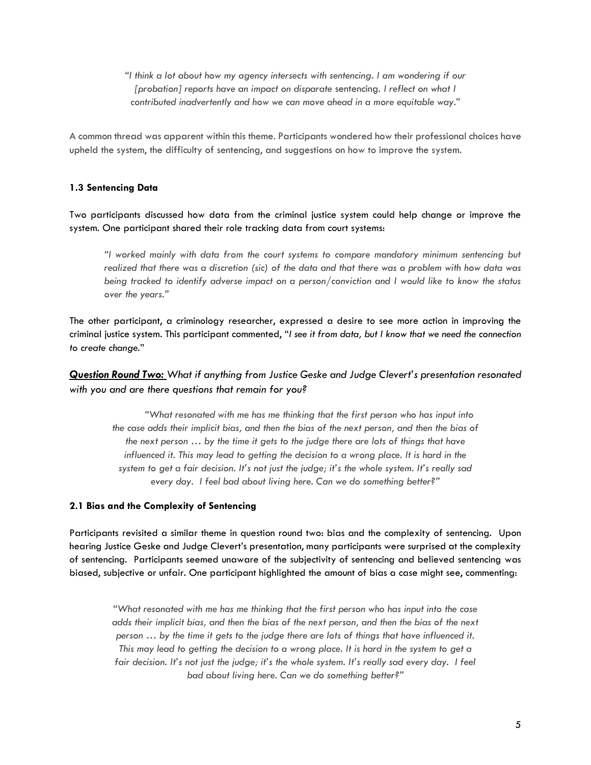*"I think a lot about how my agency intersects with sentencing. I am wondering if our [probation] reports have an impact on disparate* sentencing*. I reflect on what I contributed inadvertently and how we can move ahead in a more equitable way*."

A common thread was apparent within this theme. Participants wondered how their professional choices have upheld the system, the difficulty of sentencing, and suggestions on how to improve the system.

#### **1.3 Sentencing Data**

Two participants discussed how data from the criminal justice system could help change or improve the system. One participant shared their role tracking data from court systems:

*"I worked mainly with data from the court systems to compare mandatory minimum sentencing but realized that there was a discretion (sic) of the data and that there was a problem with how data was being tracked to identify adverse impact on a person/conviction and I would like to know the status over the years."*

The other participant, a criminology researcher, expressed a desire to see more action in improving the criminal justice system. This participant commented, "*I see it from data, but I know that we need the connection to create change*."

# *Question Round Two: What if anything from Justice Geske and Judge Clevert's presentation resonated with you and are there questions that remain for you?*

*"What resonated with me has me thinking that the first person who has input into the case adds their implicit bias, and then the bias of the next person, and then the bias of the next person … by the time it gets to the judge there are lots of things that have influenced it. This may lead to getting the decision to a wrong place. It is hard in the system to get a fair decision. It's not just the judge; it's the whole system. It's really sad every day. I feel bad about living here. Can we do something better?"* 

#### **2.1 Bias and the Complexity of Sentencing**

Participants revisited a similar theme in question round two: bias and the complexity of sentencing. Upon hearing Justice Geske and Judge Clevert's presentation, many participants were surprised at the complexity of sentencing. Participants seemed unaware of the subjectivity of sentencing and believed sentencing was biased, subjective or unfair. One participant highlighted the amount of bias a case might see, commenting:

*"What resonated with me has me thinking that the first person who has input into the case adds their implicit bias, and then the bias of the next person, and then the bias of the next person … by the time it gets to the judge there are lots of things that have influenced it. This may lead to getting the decision to a wrong place. It is hard in the system to get a fair decision. It's not just the judge; it's the whole system. It's really sad every day. I feel bad about living here. Can we do something better?"*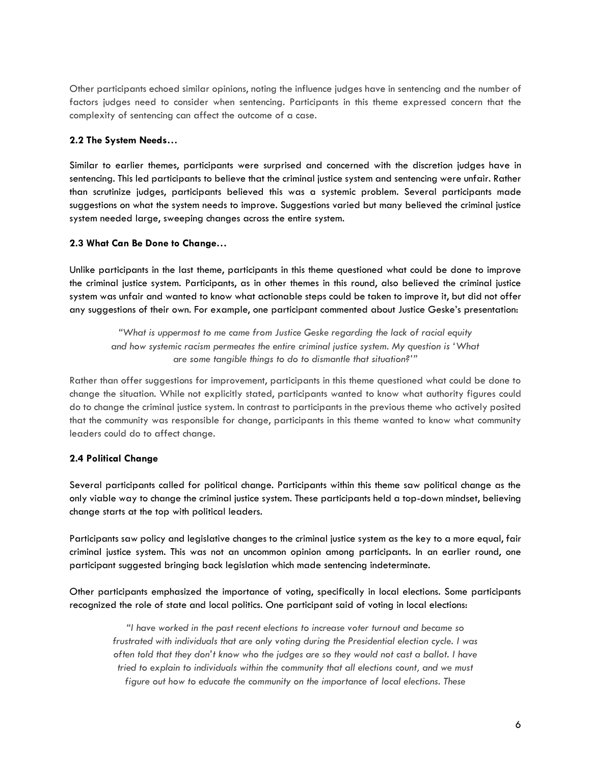Other participants echoed similar opinions, noting the influence judges have in sentencing and the number of factors judges need to consider when sentencing. Participants in this theme expressed concern that the complexity of sentencing can affect the outcome of a case.

#### **2.2 The System Needs…**

Similar to earlier themes, participants were surprised and concerned with the discretion judges have in sentencing. This led participants to believe that the criminal justice system and sentencing were unfair. Rather than scrutinize judges, participants believed this was a systemic problem. Several participants made suggestions on what the system needs to improve. Suggestions varied but many believed the criminal justice system needed large, sweeping changes across the entire system.

#### **2.3 What Can Be Done to Change…**

Unlike participants in the last theme, participants in this theme questioned what could be done to improve the criminal justice system. Participants, as in other themes in this round, also believed the criminal justice system was unfair and wanted to know what actionable steps could be taken to improve it, but did not offer any suggestions of their own. For example, one participant commented about Justice Geske's presentation:

*"What is uppermost to me came from Justice Geske regarding the lack of racial equity and how systemic racism permeates the entire criminal justice system. My question is 'What are some tangible things to do to dismantle that situation?'"*

Rather than offer suggestions for improvement, participants in this theme questioned what could be done to change the situation. While not explicitly stated, participants wanted to know what authority figures could do to change the criminal justice system. In contrast to participants in the previous theme who actively posited that the community was responsible for change, participants in this theme wanted to know what community leaders could do to affect change.

## **2.4 Political Change**

Several participants called for political change. Participants within this theme saw political change as the only viable way to change the criminal justice system. These participants held a top-down mindset, believing change starts at the top with political leaders.

Participants saw policy and legislative changes to the criminal justice system as the key to a more equal, fair criminal justice system. This was not an uncommon opinion among participants. In an earlier round, one participant suggested bringing back legislation which made sentencing indeterminate.

Other participants emphasized the importance of voting, specifically in local elections. Some participants recognized the role of state and local politics. One participant said of voting in local elections:

*"I have worked in the past recent elections to increase voter turnout and became so frustrated with individuals that are only voting during the Presidential election cycle. I was often told that they don't know who the judges are so they would not cast a ballot. I have tried to explain to individuals within the community that all elections count, and we must figure out how to educate the community on the importance of local elections. These*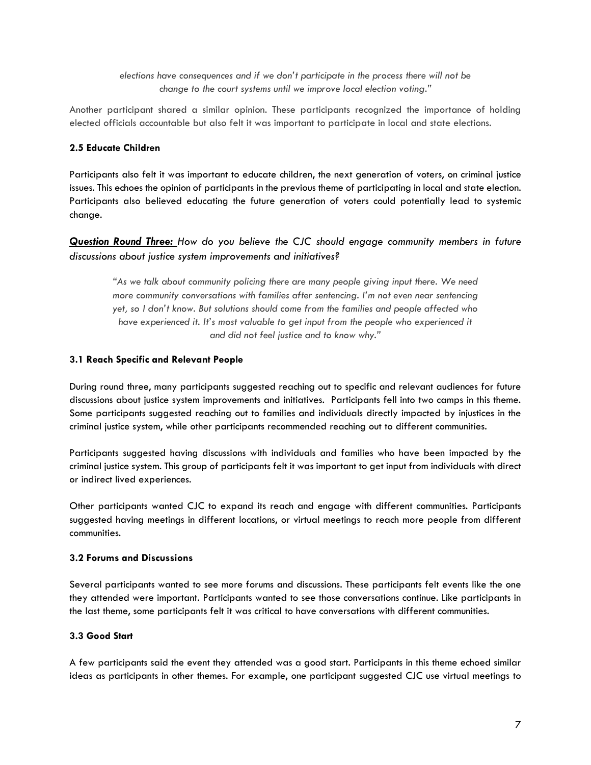*elections have consequences and if we don't participate in the process there will not be change to the court systems until we improve local election voting."* 

Another participant shared a similar opinion. These participants recognized the importance of holding elected officials accountable but also felt it was important to participate in local and state elections.

#### **2.5 Educate Children**

Participants also felt it was important to educate children, the next generation of voters, on criminal justice issues. This echoes the opinion of participants in the previous theme of participating in local and state election. Participants also believed educating the future generation of voters could potentially lead to systemic change.

*Question Round Three: How do you believe the CJC should engage community members in future discussions about justice system improvements and initiatives?*

*"As we talk about community policing there are many people giving input there. We need more community conversations with families after sentencing. I'm not even near sentencing yet, so I don't know. But solutions should come from the families and people affected who have experienced it. It's most valuable to get input from the people who experienced it and did not feel justice and to know why."*

#### **3.1 Reach Specific and Relevant People**

During round three, many participants suggested reaching out to specific and relevant audiences for future discussions about justice system improvements and initiatives. Participants fell into two camps in this theme. Some participants suggested reaching out to families and individuals directly impacted by injustices in the criminal justice system, while other participants recommended reaching out to different communities.

Participants suggested having discussions with individuals and families who have been impacted by the criminal justice system. This group of participants felt it was important to get input from individuals with direct or indirect lived experiences.

Other participants wanted CJC to expand its reach and engage with different communities. Participants suggested having meetings in different locations, or virtual meetings to reach more people from different communities.

## **3.2 Forums and Discussions**

Several participants wanted to see more forums and discussions. These participants felt events like the one they attended were important. Participants wanted to see those conversations continue. Like participants in the last theme, some participants felt it was critical to have conversations with different communities.

## **3.3 Good Start**

A few participants said the event they attended was a good start. Participants in this theme echoed similar ideas as participants in other themes. For example, one participant suggested CJC use virtual meetings to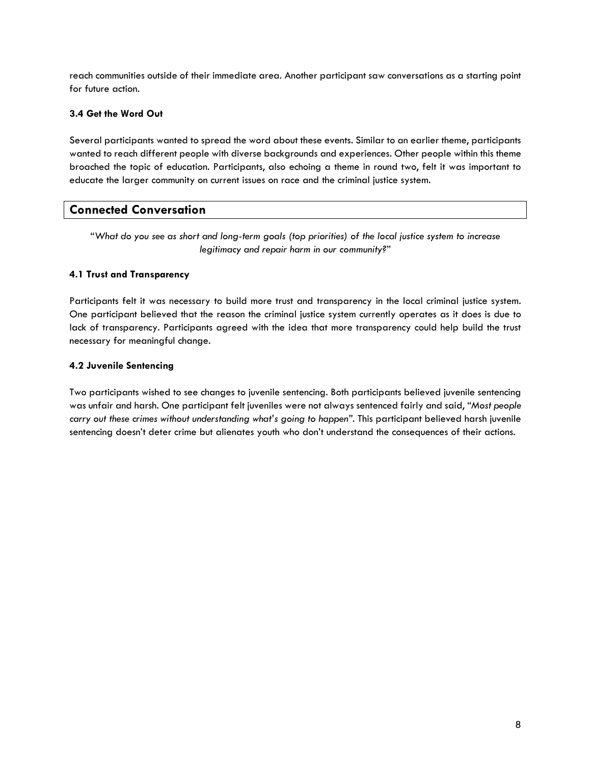reach communities outside of their immediate area. Another participant saw conversations as a starting point for future action.

## **3.4 Get the Word Out**

Several participants wanted to spread the word about these events. Similar to an earlier theme, participants wanted to reach different people with diverse backgrounds and experiences. Other people within this theme broached the topic of education. Participants, also echoing a theme in round two, felt it was important to educate the larger community on current issues on race and the criminal justice system.

# **Connected Conversation**

"*What do you see as short and long-term goals (top priorities) of the local justice system to increase legitimacy and repair harm in our community?*"

## **4.1 Trust and Transparency**

Participants felt it was necessary to build more trust and transparency in the local criminal justice system. One participant believed that the reason the criminal justice system currently operates as it does is due to lack of transparency. Participants agreed with the idea that more transparency could help build the trust necessary for meaningful change.

## **4.2 Juvenile Sentencing**

Two participants wished to see changes to juvenile sentencing. Both participants believed juvenile sentencing was unfair and harsh. One participant felt juveniles were not always sentenced fairly and said, "*Most people carry out these crimes without understanding what's going to happen"*. This participant believed harsh juvenile sentencing doesn't deter crime but alienates youth who don't understand the consequences of their actions.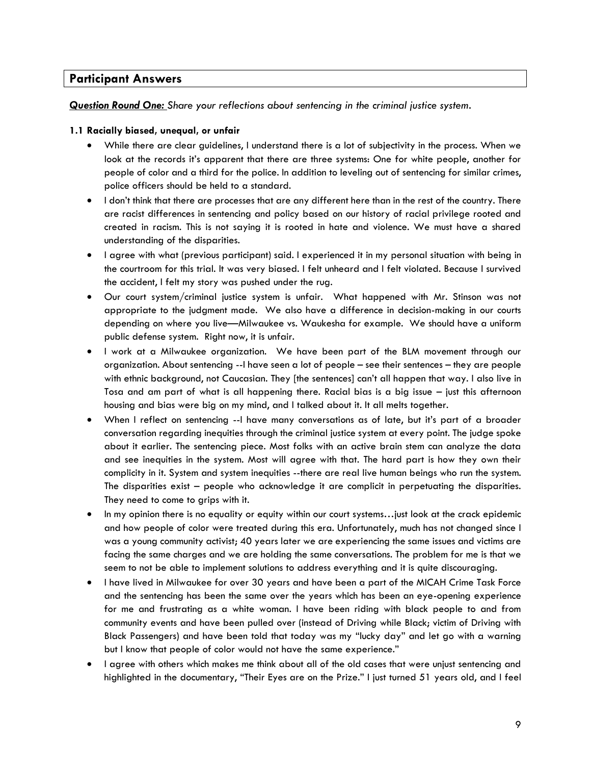# **Participant Answers**

#### *Question Round One: Share your reflections about sentencing in the criminal justice system.*

#### **1.1 Racially biased, unequal, or unfair**

- While there are clear guidelines, I understand there is a lot of subjectivity in the process. When we look at the records it's apparent that there are three systems: One for white people, another for people of color and a third for the police. In addition to leveling out of sentencing for similar crimes, police officers should be held to a standard.
- I don't think that there are processes that are any different here than in the rest of the country. There are racist differences in sentencing and policy based on our history of racial privilege rooted and created in racism. This is not saying it is rooted in hate and violence. We must have a shared understanding of the disparities.
- I agree with what (previous participant) said. I experienced it in my personal situation with being in the courtroom for this trial. It was very biased. I felt unheard and I felt violated. Because I survived the accident, I felt my story was pushed under the rug.
- Our court system/criminal justice system is unfair. What happened with Mr. Stinson was not appropriate to the judgment made. We also have a difference in decision-making in our courts depending on where you live—Milwaukee vs. Waukesha for example. We should have a uniform public defense system. Right now, it is unfair.
- I work at a Milwaukee organization. We have been part of the BLM movement through our organization. About sentencing --I have seen a lot of people – see their sentences – they are people with ethnic background, not Caucasian. They [the sentences] can't all happen that way. I also live in Tosa and am part of what is all happening there. Racial bias is a big issue – just this afternoon housing and bias were big on my mind, and I talked about it. It all melts together.
- When I reflect on sentencing --I have many conversations as of late, but it's part of a broader conversation regarding inequities through the criminal justice system at every point. The judge spoke about it earlier. The sentencing piece. Most folks with an active brain stem can analyze the data and see inequities in the system. Most will agree with that. The hard part is how they own their complicity in it. System and system inequities --there are real live human beings who run the system. The disparities exist – people who acknowledge it are complicit in perpetuating the disparities. They need to come to grips with it.
- In my opinion there is no equality or equity within our court systems…just look at the crack epidemic and how people of color were treated during this era. Unfortunately, much has not changed since I was a young community activist; 40 years later we are experiencing the same issues and victims are facing the same charges and we are holding the same conversations. The problem for me is that we seem to not be able to implement solutions to address everything and it is quite discouraging.
- I have lived in Milwaukee for over 30 years and have been a part of the MICAH Crime Task Force and the sentencing has been the same over the years which has been an eye-opening experience for me and frustrating as a white woman. I have been riding with black people to and from community events and have been pulled over (instead of Driving while Black; victim of Driving with Black Passengers) and have been told that today was my "lucky day" and let go with a warning but I know that people of color would not have the same experience."
- I agree with others which makes me think about all of the old cases that were unjust sentencing and highlighted in the documentary, "Their Eyes are on the Prize." I just turned 51 years old, and I feel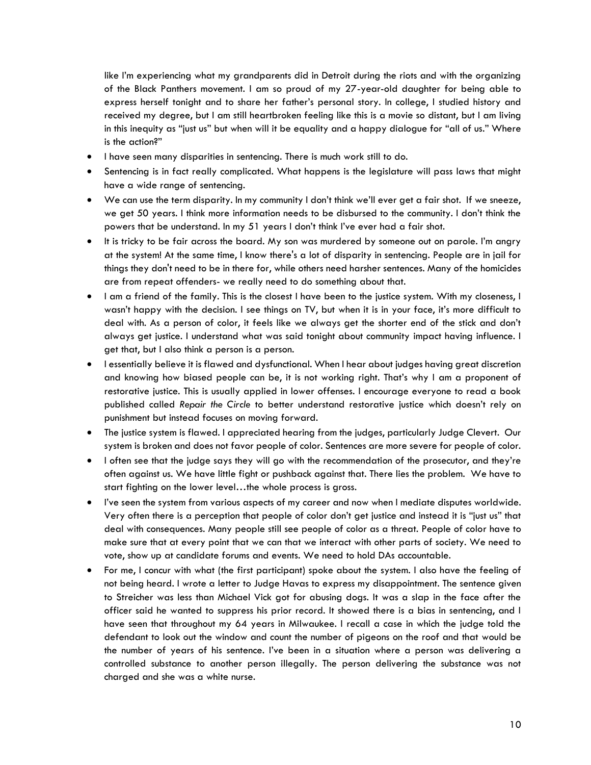like I'm experiencing what my grandparents did in Detroit during the riots and with the organizing of the Black Panthers movement. I am so proud of my 27-year-old daughter for being able to express herself tonight and to share her father's personal story. In college, I studied history and received my degree, but I am still heartbroken feeling like this is a movie so distant, but I am living in this inequity as "just us" but when will it be equality and a happy dialogue for "all of us." Where is the action?"

- I have seen many disparities in sentencing. There is much work still to do.
- Sentencing is in fact really complicated. What happens is the legislature will pass laws that might have a wide range of sentencing.
- We can use the term disparity. In my community I don't think we'll ever get a fair shot. If we sneeze, we get 50 years. I think more information needs to be disbursed to the community. I don't think the powers that be understand. In my 51 years I don't think I've ever had a fair shot.
- It is tricky to be fair across the board. My son was murdered by someone out on parole. I'm angry at the system! At the same time, I know there's a lot of disparity in sentencing. People are in jail for things they don't need to be in there for, while others need harsher sentences. Many of the homicides are from repeat offenders- we really need to do something about that.
- I am a friend of the family. This is the closest I have been to the justice system. With my closeness, I wasn't happy with the decision. I see things on TV, but when it is in your face, it's more difficult to deal with. As a person of color, it feels like we always get the shorter end of the stick and don't always get justice. I understand what was said tonight about community impact having influence. I get that, but I also think a person is a person.
- I essentially believe it is flawed and dysfunctional. When I hear about judges having great discretion and knowing how biased people can be, it is not working right. That's why I am a proponent of restorative justice. This is usually applied in lower offenses. I encourage everyone to read a book published called *Repair the Circle* to better understand restorative justice which doesn't rely on punishment but instead focuses on moving forward.
- The justice system is flawed. I appreciated hearing from the judges, particularly Judge Clevert. Our system is broken and does not favor people of color. Sentences are more severe for people of color.
- I often see that the judge says they will go with the recommendation of the prosecutor, and they're often against us. We have little fight or pushback against that. There lies the problem. We have to start fighting on the lower level…the whole process is gross.
- I've seen the system from various aspects of my career and now when I mediate disputes worldwide. Very often there is a perception that people of color don't get justice and instead it is "just us" that deal with consequences. Many people still see people of color as a threat. People of color have to make sure that at every point that we can that we interact with other parts of society. We need to vote, show up at candidate forums and events. We need to hold DAs accountable.
- For me, I concur with what (the first participant) spoke about the system. I also have the feeling of not being heard. I wrote a letter to Judge Havas to express my disappointment. The sentence given to Streicher was less than Michael Vick got for abusing dogs. It was a slap in the face after the officer said he wanted to suppress his prior record. It showed there is a bias in sentencing, and I have seen that throughout my 64 years in Milwaukee. I recall a case in which the judge told the defendant to look out the window and count the number of pigeons on the roof and that would be the number of years of his sentence. I've been in a situation where a person was delivering a controlled substance to another person illegally. The person delivering the substance was not charged and she was a white nurse.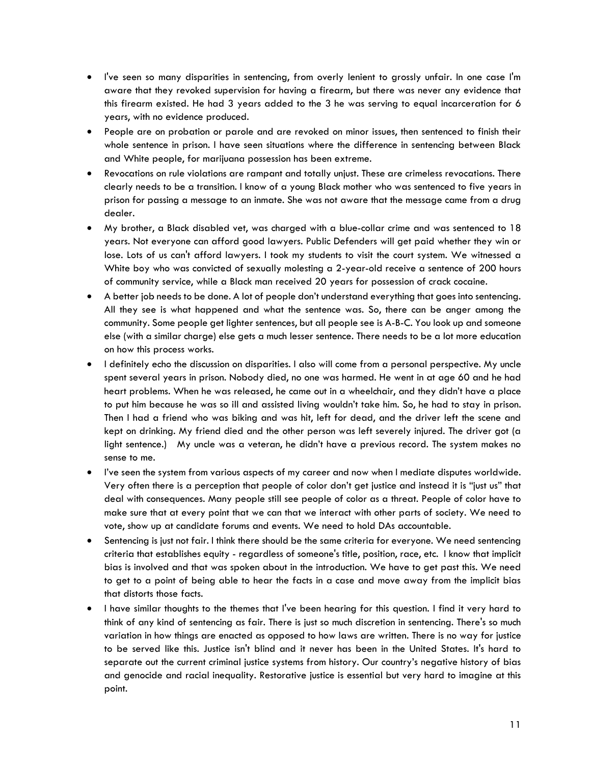- I've seen so many disparities in sentencing, from overly lenient to grossly unfair. In one case I'm aware that they revoked supervision for having a firearm, but there was never any evidence that this firearm existed. He had 3 years added to the 3 he was serving to equal incarceration for 6 years, with no evidence produced.
- People are on probation or parole and are revoked on minor issues, then sentenced to finish their whole sentence in prison. I have seen situations where the difference in sentencing between Black and White people, for marijuana possession has been extreme.
- Revocations on rule violations are rampant and totally unjust. These are crimeless revocations. There clearly needs to be a transition. I know of a young Black mother who was sentenced to five years in prison for passing a message to an inmate. She was not aware that the message came from a drug dealer.
- My brother, a Black disabled vet, was charged with a blue-collar crime and was sentenced to 18 years. Not everyone can afford good lawyers. Public Defenders will get paid whether they win or lose. Lots of us can't afford lawyers. I took my students to visit the court system. We witnessed a White boy who was convicted of sexually molesting a 2-year-old receive a sentence of 200 hours of community service, while a Black man received 20 years for possession of crack cocaine.
- A better job needs to be done. A lot of people don't understand everything that goes into sentencing. All they see is what happened and what the sentence was. So, there can be anger among the community. Some people get lighter sentences, but all people see is A-B-C. You look up and someone else (with a similar charge) else gets a much lesser sentence. There needs to be a lot more education on how this process works.
- I definitely echo the discussion on disparities. I also will come from a personal perspective. My uncle spent several years in prison. Nobody died, no one was harmed. He went in at age 60 and he had heart problems. When he was released, he came out in a wheelchair, and they didn't have a place to put him because he was so ill and assisted living wouldn't take him. So, he had to stay in prison. Then I had a friend who was biking and was hit, left for dead, and the driver left the scene and kept on drinking. My friend died and the other person was left severely injured. The driver got (a light sentence.) My uncle was a veteran, he didn't have a previous record. The system makes no sense to me.
- I've seen the system from various aspects of my career and now when I mediate disputes worldwide. Very often there is a perception that people of color don't get justice and instead it is "just us" that deal with consequences. Many people still see people of color as a threat. People of color have to make sure that at every point that we can that we interact with other parts of society. We need to vote, show up at candidate forums and events. We need to hold DAs accountable.
- Sentencing is just not fair. I think there should be the same criteria for everyone. We need sentencing criteria that establishes equity - regardless of someone's title, position, race, etc. I know that implicit bias is involved and that was spoken about in the introduction. We have to get past this. We need to get to a point of being able to hear the facts in a case and move away from the implicit bias that distorts those facts.
- I have similar thoughts to the themes that I've been hearing for this question. I find it very hard to think of any kind of sentencing as fair. There is just so much discretion in sentencing. There's so much variation in how things are enacted as opposed to how laws are written. There is no way for justice to be served like this. Justice isn't blind and it never has been in the United States. It's hard to separate out the current criminal justice systems from history. Our country's negative history of bias and genocide and racial inequality. Restorative justice is essential but very hard to imagine at this point.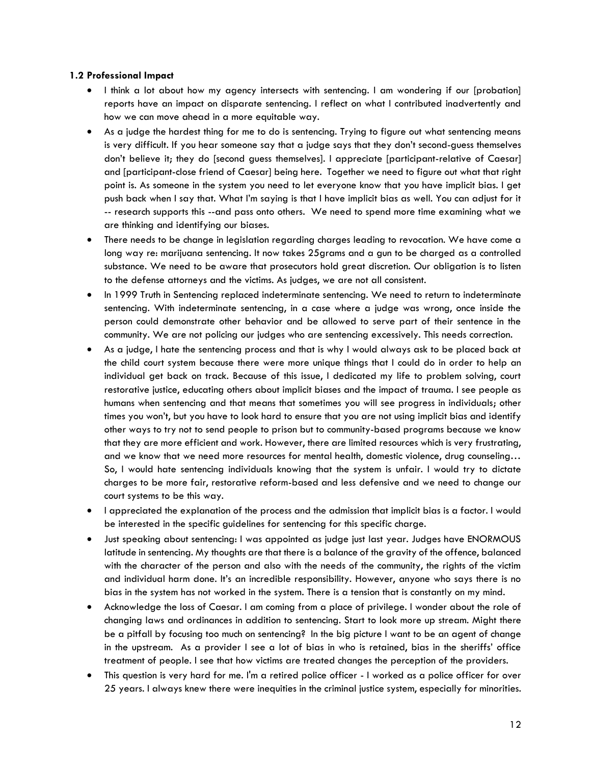#### **1.2 Professional Impact**

- I think a lot about how my agency intersects with sentencing. I am wondering if our [probation] reports have an impact on disparate sentencing. I reflect on what I contributed inadvertently and how we can move ahead in a more equitable way.
- As a judge the hardest thing for me to do is sentencing. Trying to figure out what sentencing means is very difficult. If you hear someone say that a judge says that they don't second-guess themselves don't believe it; they do [second guess themselves]. I appreciate [participant-relative of Caesar] and [participant-close friend of Caesar] being here. Together we need to figure out what that right point is. As someone in the system you need to let everyone know that you have implicit bias. I get push back when I say that. What I'm saying is that I have implicit bias as well. You can adjust for it -- research supports this --and pass onto others. We need to spend more time examining what we are thinking and identifying our biases.
- There needs to be change in legislation regarding charges leading to revocation. We have come a long way re: marijuana sentencing. It now takes 25grams and a gun to be charged as a controlled substance. We need to be aware that prosecutors hold great discretion. Our obligation is to listen to the defense attorneys and the victims. As judges, we are not all consistent.
- In 1999 Truth in Sentencing replaced indeterminate sentencing. We need to return to indeterminate sentencing. With indeterminate sentencing, in a case where a judge was wrong, once inside the person could demonstrate other behavior and be allowed to serve part of their sentence in the community. We are not policing our judges who are sentencing excessively. This needs correction.
- As a judge, I hate the sentencing process and that is why I would always ask to be placed back at the child court system because there were more unique things that I could do in order to help an individual get back on track. Because of this issue, I dedicated my life to problem solving, court restorative justice, educating others about implicit biases and the impact of trauma. I see people as humans when sentencing and that means that sometimes you will see progress in individuals; other times you won't, but you have to look hard to ensure that you are not using implicit bias and identify other ways to try not to send people to prison but to community-based programs because we know that they are more efficient and work. However, there are limited resources which is very frustrating, and we know that we need more resources for mental health, domestic violence, drug counseling… So, I would hate sentencing individuals knowing that the system is unfair. I would try to dictate charges to be more fair, restorative reform-based and less defensive and we need to change our court systems to be this way.
- I appreciated the explanation of the process and the admission that implicit bias is a factor. I would be interested in the specific guidelines for sentencing for this specific charge.
- Just speaking about sentencing: I was appointed as judge just last year. Judges have ENORMOUS latitude in sentencing. My thoughts are that there is a balance of the gravity of the offence, balanced with the character of the person and also with the needs of the community, the rights of the victim and individual harm done. It's an incredible responsibility. However, anyone who says there is no bias in the system has not worked in the system. There is a tension that is constantly on my mind.
- Acknowledge the loss of Caesar. I am coming from a place of privilege. I wonder about the role of changing laws and ordinances in addition to sentencing. Start to look more up stream. Might there be a pitfall by focusing too much on sentencing? In the big picture I want to be an agent of change in the upstream. As a provider I see a lot of bias in who is retained, bias in the sheriffs' office treatment of people. I see that how victims are treated changes the perception of the providers.
- This question is very hard for me. I'm a retired police officer I worked as a police officer for over 25 years. I always knew there were inequities in the criminal justice system, especially for minorities.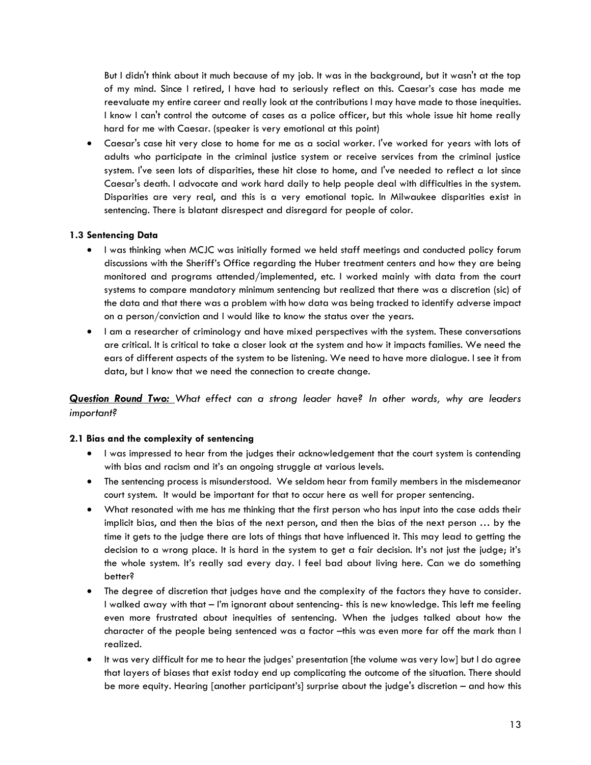But I didn't think about it much because of my job. It was in the background, but it wasn't at the top of my mind. Since I retired, I have had to seriously reflect on this. Caesar's case has made me reevaluate my entire career and really look at the contributions I may have made to those inequities. I know I can't control the outcome of cases as a police officer, but this whole issue hit home really hard for me with Caesar. (speaker is very emotional at this point)

• Caesar's case hit very close to home for me as a social worker. I've worked for years with lots of adults who participate in the criminal justice system or receive services from the criminal justice system. I've seen lots of disparities, these hit close to home, and I've needed to reflect a lot since Caesar's death. I advocate and work hard daily to help people deal with difficulties in the system. Disparities are very real, and this is a very emotional topic. In Milwaukee disparities exist in sentencing. There is blatant disrespect and disregard for people of color.

## **1.3 Sentencing Data**

- I was thinking when MCJC was initially formed we held staff meetings and conducted policy forum discussions with the Sheriff's Office regarding the Huber treatment centers and how they are being monitored and programs attended/implemented, etc. I worked mainly with data from the court systems to compare mandatory minimum sentencing but realized that there was a discretion (sic) of the data and that there was a problem with how data was being tracked to identify adverse impact on a person/conviction and I would like to know the status over the years.
- I am a researcher of criminology and have mixed perspectives with the system. These conversations are critical. It is critical to take a closer look at the system and how it impacts families. We need the ears of different aspects of the system to be listening. We need to have more dialogue. I see it from data, but I know that we need the connection to create change.

*Question Round Two: What effect can a strong leader have? In other words, why are leaders important?*

## **2.1 Bias and the complexity of sentencing**

- I was impressed to hear from the judges their acknowledgement that the court system is contending with bias and racism and it's an ongoing struggle at various levels.
- The sentencing process is misunderstood. We seldom hear from family members in the misdemeanor court system. It would be important for that to occur here as well for proper sentencing.
- What resonated with me has me thinking that the first person who has input into the case adds their implicit bias, and then the bias of the next person, and then the bias of the next person … by the time it gets to the judge there are lots of things that have influenced it. This may lead to getting the decision to a wrong place. It is hard in the system to get a fair decision. It's not just the judge; it's the whole system. It's really sad every day. I feel bad about living here. Can we do something better?
- The degree of discretion that judges have and the complexity of the factors they have to consider. I walked away with that – I'm ignorant about sentencing- this is new knowledge. This left me feeling even more frustrated about inequities of sentencing. When the judges talked about how the character of the people being sentenced was a factor -this was even more far off the mark than I realized.
- It was very difficult for me to hear the judges' presentation [the volume was very low] but I do agree that layers of biases that exist today end up complicating the outcome of the situation. There should be more equity. Hearing [another participant's] surprise about the judge's discretion – and how this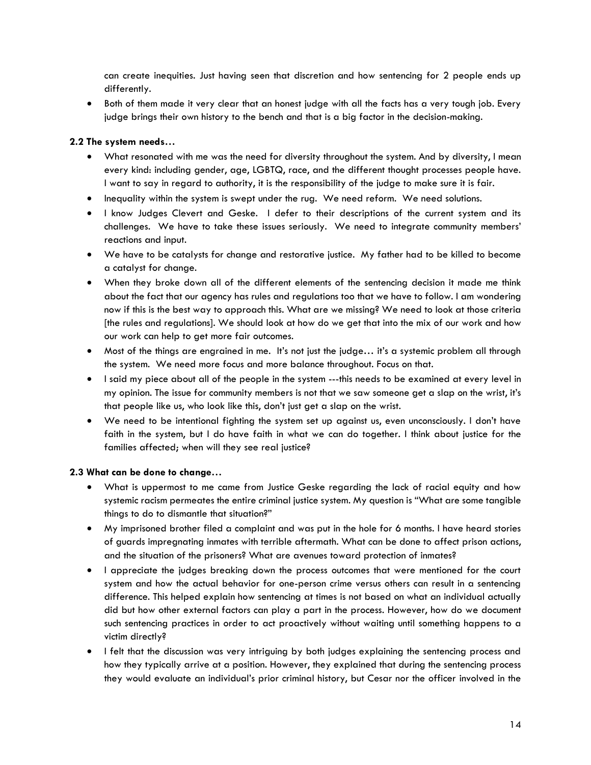can create inequities. Just having seen that discretion and how sentencing for 2 people ends up differently.

• Both of them made it very clear that an honest judge with all the facts has a very tough job. Every judge brings their own history to the bench and that is a big factor in the decision-making.

## **2.2 The system needs…**

- What resonated with me was the need for diversity throughout the system. And by diversity, I mean every kind: including gender, age, LGBTQ, race, and the different thought processes people have. I want to say in regard to authority, it is the responsibility of the judge to make sure it is fair.
- Inequality within the system is swept under the rug. We need reform. We need solutions.
- I know Judges Clevert and Geske. I defer to their descriptions of the current system and its challenges. We have to take these issues seriously. We need to integrate community members' reactions and input.
- We have to be catalysts for change and restorative justice. My father had to be killed to become a catalyst for change.
- When they broke down all of the different elements of the sentencing decision it made me think about the fact that our agency has rules and regulations too that we have to follow. I am wondering now if this is the best way to approach this. What are we missing? We need to look at those criteria [the rules and regulations]. We should look at how do we get that into the mix of our work and how our work can help to get more fair outcomes.
- Most of the things are engrained in me. It's not just the judge… it's a systemic problem all through the system. We need more focus and more balance throughout. Focus on that.
- I said my piece about all of the people in the system ---this needs to be examined at every level in my opinion. The issue for community members is not that we saw someone get a slap on the wrist, it's that people like us, who look like this, don't just get a slap on the wrist.
- We need to be intentional fighting the system set up against us, even unconsciously. I don't have faith in the system, but I do have faith in what we can do together. I think about justice for the families affected; when will they see real justice?

#### **2.3 What can be done to change…**

- What is uppermost to me came from Justice Geske regarding the lack of racial equity and how systemic racism permeates the entire criminal justice system. My question is "What are some tangible things to do to dismantle that situation?"
- My imprisoned brother filed a complaint and was put in the hole for 6 months. I have heard stories of guards impregnating inmates with terrible aftermath. What can be done to affect prison actions, and the situation of the prisoners? What are avenues toward protection of inmates?
- I appreciate the judges breaking down the process outcomes that were mentioned for the court system and how the actual behavior for one-person crime versus others can result in a sentencing difference. This helped explain how sentencing at times is not based on what an individual actually did but how other external factors can play a part in the process. However, how do we document such sentencing practices in order to act proactively without waiting until something happens to a victim directly?
- I felt that the discussion was very intriguing by both judges explaining the sentencing process and how they typically arrive at a position. However, they explained that during the sentencing process they would evaluate an individual's prior criminal history, but Cesar nor the officer involved in the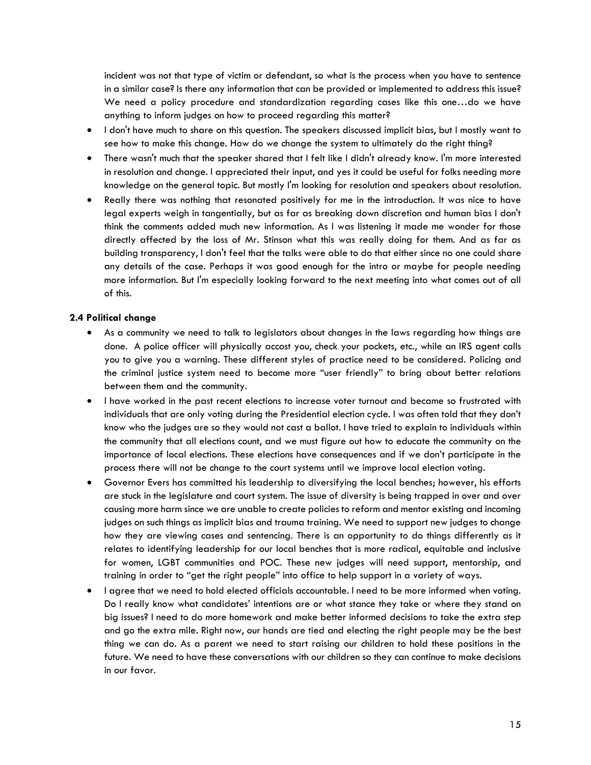incident was not that type of victim or defendant, so what is the process when you have to sentence in a similar case? Is there any information that can be provided or implemented to address this issue? We need a policy procedure and standardization regarding cases like this one…do we have anything to inform judges on how to proceed regarding this matter?

- I don't have much to share on this question. The speakers discussed implicit bias, but I mostly want to see how to make this change. How do we change the system to ultimately do the right thing?
- There wasn't much that the speaker shared that I felt like I didn't already know. I'm more interested in resolution and change. I appreciated their input, and yes it could be useful for folks needing more knowledge on the general topic. But mostly I'm looking for resolution and speakers about resolution.
- Really there was nothing that resonated positively for me in the introduction. It was nice to have legal experts weigh in tangentially, but as far as breaking down discretion and human bias I don't think the comments added much new information. As I was listening it made me wonder for those directly affected by the loss of Mr. Stinson what this was really doing for them. And as far as building transparency, I don't feel that the talks were able to do that either since no one could share any details of the case. Perhaps it was good enough for the intro or maybe for people needing more information. But I'm especially looking forward to the next meeting into what comes out of all of this.

#### **2.4 Political change**

- As a community we need to talk to legislators about changes in the laws regarding how things are done. A police officer will physically accost you, check your pockets, etc., while an IRS agent calls you to give you a warning. These different styles of practice need to be considered. Policing and the criminal justice system need to become more "user friendly" to bring about better relations between them and the community.
- I have worked in the past recent elections to increase voter turnout and became so frustrated with individuals that are only voting during the Presidential election cycle. I was often told that they don't know who the judges are so they would not cast a ballot. I have tried to explain to individuals within the community that all elections count, and we must figure out how to educate the community on the importance of local elections. These elections have consequences and if we don't participate in the process there will not be change to the court systems until we improve local election voting.
- Governor Evers has committed his leadership to diversifying the local benches; however, his efforts are stuck in the legislature and court system. The issue of diversity is being trapped in over and over causing more harm since we are unable to create policies to reform and mentor existing and incoming judges on such things as implicit bias and trauma training. We need to support new judges to change how they are viewing cases and sentencing. There is an opportunity to do things differently as it relates to identifying leadership for our local benches that is more radical, equitable and inclusive for women, LGBT communities and POC. These new judges will need support, mentorship, and training in order to "get the right people" into office to help support in a variety of ways.
- I agree that we need to hold elected officials accountable. I need to be more informed when voting. Do I really know what candidates' intentions are or what stance they take or where they stand on big issues? I need to do more homework and make better informed decisions to take the extra step and go the extra mile. Right now, our hands are tied and electing the right people may be the best thing we can do. As a parent we need to start raising our children to hold these positions in the future. We need to have these conversations with our children so they can continue to make decisions in our favor.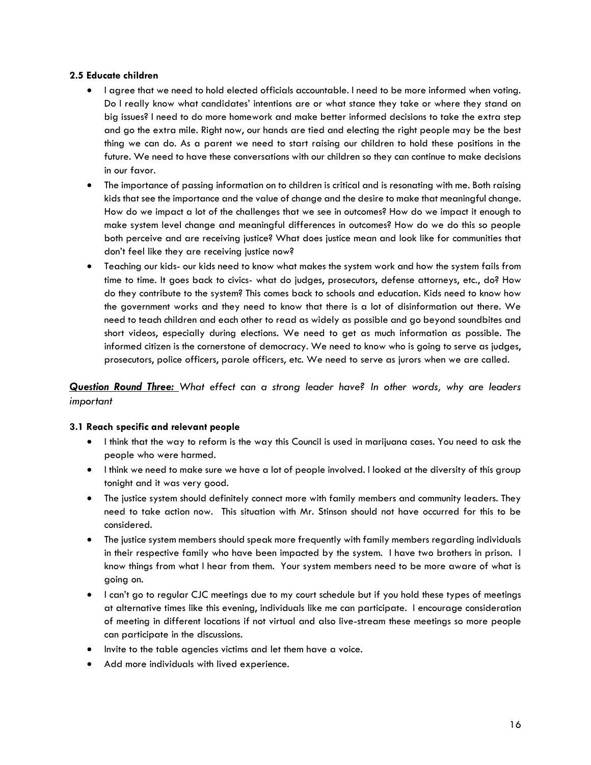#### **2.5 Educate children**

- I agree that we need to hold elected officials accountable. I need to be more informed when voting. Do I really know what candidates' intentions are or what stance they take or where they stand on big issues? I need to do more homework and make better informed decisions to take the extra step and go the extra mile. Right now, our hands are tied and electing the right people may be the best thing we can do. As a parent we need to start raising our children to hold these positions in the future. We need to have these conversations with our children so they can continue to make decisions in our favor.
- The importance of passing information on to children is critical and is resonating with me. Both raising kids that see the importance and the value of change and the desire to make that meaningful change. How do we impact a lot of the challenges that we see in outcomes? How do we impact it enough to make system level change and meaningful differences in outcomes? How do we do this so people both perceive and are receiving justice? What does justice mean and look like for communities that don't feel like they are receiving justice now?
- Teaching our kids- our kids need to know what makes the system work and how the system fails from time to time. It goes back to civics- what do judges, prosecutors, defense attorneys, etc., do? How do they contribute to the system? This comes back to schools and education. Kids need to know how the government works and they need to know that there is a lot of disinformation out there. We need to teach children and each other to read as widely as possible and go beyond soundbites and short videos, especially during elections. We need to get as much information as possible. The informed citizen is the cornerstone of democracy. We need to know who is going to serve as judges, prosecutors, police officers, parole officers, etc. We need to serve as jurors when we are called.

*Question Round Three: What effect can a strong leader have? In other words, why are leaders important*

## **3.1 Reach specific and relevant people**

- I think that the way to reform is the way this Council is used in marijuana cases. You need to ask the people who were harmed.
- I think we need to make sure we have a lot of people involved. I looked at the diversity of this group tonight and it was very good.
- The justice system should definitely connect more with family members and community leaders. They need to take action now. This situation with Mr. Stinson should not have occurred for this to be considered.
- The justice system members should speak more frequently with family members regarding individuals in their respective family who have been impacted by the system. I have two brothers in prison. I know things from what I hear from them. Your system members need to be more aware of what is going on.
- I can't go to regular CJC meetings due to my court schedule but if you hold these types of meetings at alternative times like this evening, individuals like me can participate. I encourage consideration of meeting in different locations if not virtual and also live-stream these meetings so more people can participate in the discussions.
- Invite to the table agencies victims and let them have a voice.
- Add more individuals with lived experience.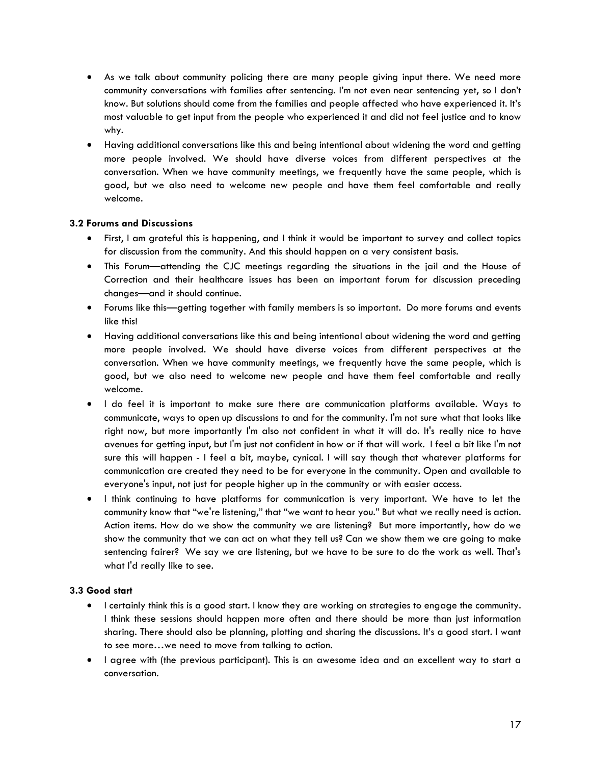- As we talk about community policing there are many people giving input there. We need more community conversations with families after sentencing. I'm not even near sentencing yet, so I don't know. But solutions should come from the families and people affected who have experienced it. It's most valuable to get input from the people who experienced it and did not feel justice and to know why.
- Having additional conversations like this and being intentional about widening the word and getting more people involved. We should have diverse voices from different perspectives at the conversation. When we have community meetings, we frequently have the same people, which is good, but we also need to welcome new people and have them feel comfortable and really welcome.

## **3.2 Forums and Discussions**

- First, I am grateful this is happening, and I think it would be important to survey and collect topics for discussion from the community. And this should happen on a very consistent basis.
- This Forum—attending the CJC meetings regarding the situations in the jail and the House of Correction and their healthcare issues has been an important forum for discussion preceding changes—and it should continue.
- Forums like this—getting together with family members is so important. Do more forums and events like this!
- Having additional conversations like this and being intentional about widening the word and getting more people involved. We should have diverse voices from different perspectives at the conversation. When we have community meetings, we frequently have the same people, which is good, but we also need to welcome new people and have them feel comfortable and really welcome.
- I do feel it is important to make sure there are communication platforms available. Ways to communicate, ways to open up discussions to and for the community. I'm not sure what that looks like right now, but more importantly I'm also not confident in what it will do. It's really nice to have avenues for getting input, but I'm just not confident in how or if that will work. I feel a bit like I'm not sure this will happen - I feel a bit, maybe, cynical. I will say though that whatever platforms for communication are created they need to be for everyone in the community. Open and available to everyone's input, not just for people higher up in the community or with easier access.
- I think continuing to have platforms for communication is very important. We have to let the community know that "we're listening," that "we want to hear you." But what we really need is action. Action items. How do we show the community we are listening? But more importantly, how do we show the community that we can act on what they tell us? Can we show them we are going to make sentencing fairer? We say we are listening, but we have to be sure to do the work as well. That's what I'd really like to see.

#### **3.3 Good start**

- I certainly think this is a good start. I know they are working on strategies to engage the community. I think these sessions should happen more often and there should be more than just information sharing. There should also be planning, plotting and sharing the discussions. It's a good start. I want to see more…we need to move from talking to action.
- I agree with (the previous participant). This is an awesome idea and an excellent way to start a conversation.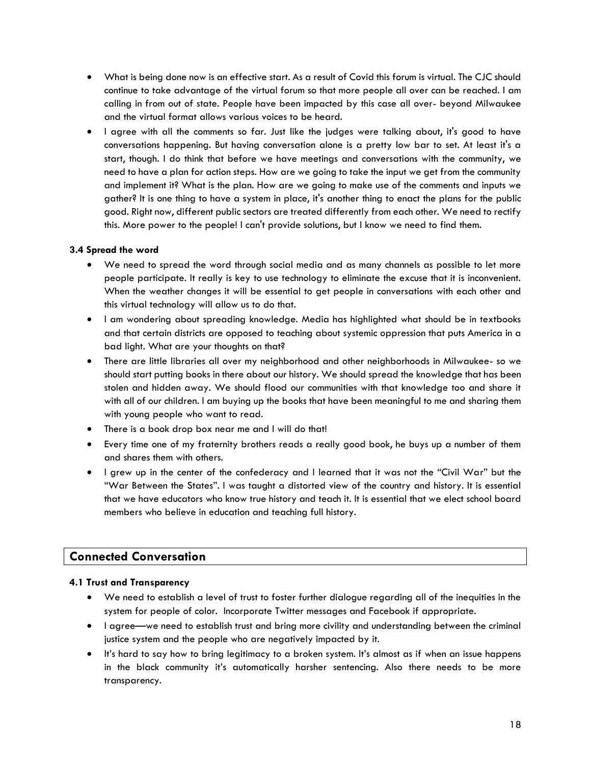- What is being done now is an effective start. As a result of Covid this forum is virtual. The CJC should continue to take advantage of the virtual forum so that more people all over can be reached. I am calling in from out of state. People have been impacted by this case all over- beyond Milwaukee and the virtual format allows various voices to be heard.
- I agree with all the comments so far. Just like the judges were talking about, it's good to have conversations happening. But having conversation alone is a pretty low bar to set. At least it's a start, though. I do think that before we have meetings and conversations with the community, we need to have a plan for action steps. How are we going to take the input we get from the community and implement it? What is the plan. How are we going to make use of the comments and inputs we gather? It is one thing to have a system in place, it's another thing to enact the plans for the public good. Right now, different public sectors are treated differently from each other. We need to rectify this. More power to the people! I can't provide solutions, but I know we need to find them.

#### **3.4 Spread the word**

- We need to spread the word through social media and as many channels as possible to let more people participate. It really is key to use technology to eliminate the excuse that it is inconvenient. When the weather changes it will be essential to get people in conversations with each other and this virtual technology will allow us to do that.
- I am wondering about spreading knowledge. Media has highlighted what should be in textbooks and that certain districts are opposed to teaching about systemic oppression that puts America in a bad light. What are your thoughts on that?
- There are little libraries all over my neighborhood and other neighborhoods in Milwaukee- so we should start putting books in there about our history. We should spread the knowledge that has been stolen and hidden away. We should flood our communities with that knowledge too and share it with all of our children. I am buying up the books that have been meaningful to me and sharing them with young people who want to read.
- There is a book drop box near me and I will do that!
- Every time one of my fraternity brothers reads a really good book, he buys up a number of them and shares them with others.
- I grew up in the center of the confederacy and I learned that it was not the "Civil War" but the "War Between the States". I was taught a distorted view of the country and history. It is essential that we have educators who know true history and teach it. It is essential that we elect school board members who believe in education and teaching full history.

# **Connected Conversation**

## **4.1 Trust and Transparency**

- We need to establish a level of trust to foster further dialogue regarding all of the inequities in the system for people of color. Incorporate Twitter messages and Facebook if appropriate.
- I agree—we need to establish trust and bring more civility and understanding between the criminal justice system and the people who are negatively impacted by it.
- It's hard to say how to bring legitimacy to a broken system. It's almost as if when an issue happens in the black community it's automatically harsher sentencing. Also there needs to be more transparency.